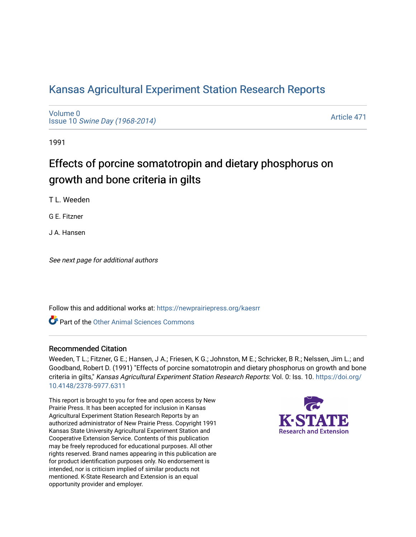# [Kansas Agricultural Experiment Station Research Reports](https://newprairiepress.org/kaesrr)

[Volume 0](https://newprairiepress.org/kaesrr/vol0) Issue 10 [Swine Day \(1968-2014\)](https://newprairiepress.org/kaesrr/vol0/iss10)

[Article 471](https://newprairiepress.org/kaesrr/vol0/iss10/471) 

1991

# Effects of porcine somatotropin and dietary phosphorus on growth and bone criteria in gilts

T L. Weeden

G E. Fitzner

J A. Hansen

See next page for additional authors

Follow this and additional works at: [https://newprairiepress.org/kaesrr](https://newprairiepress.org/kaesrr?utm_source=newprairiepress.org%2Fkaesrr%2Fvol0%2Fiss10%2F471&utm_medium=PDF&utm_campaign=PDFCoverPages) 

Part of the [Other Animal Sciences Commons](http://network.bepress.com/hgg/discipline/82?utm_source=newprairiepress.org%2Fkaesrr%2Fvol0%2Fiss10%2F471&utm_medium=PDF&utm_campaign=PDFCoverPages)

#### Recommended Citation

Weeden, T L.; Fitzner, G E.; Hansen, J A.; Friesen, K G.; Johnston, M E.; Schricker, B R.; Nelssen, Jim L.; and Goodband, Robert D. (1991) "Effects of porcine somatotropin and dietary phosphorus on growth and bone criteria in gilts," Kansas Agricultural Experiment Station Research Reports: Vol. 0: Iss. 10. [https://doi.org/](https://doi.org/10.4148/2378-5977.6311) [10.4148/2378-5977.6311](https://doi.org/10.4148/2378-5977.6311)

This report is brought to you for free and open access by New Prairie Press. It has been accepted for inclusion in Kansas Agricultural Experiment Station Research Reports by an authorized administrator of New Prairie Press. Copyright 1991 Kansas State University Agricultural Experiment Station and Cooperative Extension Service. Contents of this publication may be freely reproduced for educational purposes. All other rights reserved. Brand names appearing in this publication are for product identification purposes only. No endorsement is intended, nor is criticism implied of similar products not mentioned. K-State Research and Extension is an equal opportunity provider and employer.

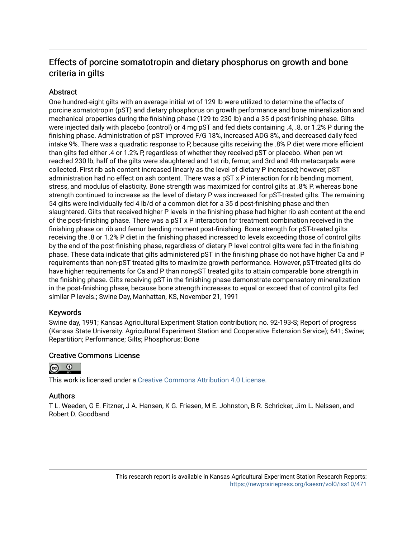# Effects of porcine somatotropin and dietary phosphorus on growth and bone criteria in gilts

## **Abstract**

One hundred-eight gilts with an average initial wt of 129 lb were utilized to determine the effects of porcine somatotropin (pST) and dietary phosphorus on growth performance and bone mineralization and mechanical properties during the finishing phase (129 to 230 lb) and a 35 d post-finishing phase. Gilts were injected daily with placebo (control) or 4 mg pST and fed diets containing .4, .8, or 1.2% P during the finishing phase. Administration of pST improved F/G 18%, increased ADG 8%, and decreased daily feed intake 9%. There was a quadratic response to P, because gilts receiving the .8% P diet were more efficient than gilts fed either .4 or 1.2% P, regardless of whether they received pST or placebo. When pen wt reached 230 lb, half of the gilts were slaughtered and 1st rib, femur, and 3rd and 4th metacarpals were collected. First rib ash content increased linearly as the level of dietary P increased; however, pST administration had no effect on ash content. There was a pST x P interaction for rib bending moment, stress, and modulus of elasticity. Bone strength was maximized for control gilts at .8% P, whereas bone strength continued to increase as the level of dietary P was increased for pST-treated gilts. The remaining 54 gilts were individually fed 4 lb/d of a common diet for a 35 d post-finishing phase and then slaughtered. Gilts that received higher P levels in the finishing phase had higher rib ash content at the end of the post-finishing phase. There was a pST x P interaction for treatment combination received in the finishing phase on rib and femur bending moment post-finishing. Bone strength for pST-treated gilts receiving the .8 or 1.2% P diet in the finishing phased increased to levels exceeding those of control gilts by the end of the post-finishing phase, regardless of dietary P level control gilts were fed in the finishing phase. These data indicate that gilts administered pST in the finishing phase do not have higher Ca and P requirements than non-pST treated gilts to maximize growth performance. However, pST-treated gilts do have higher requirements for Ca and P than non-pST treated gilts to attain comparable bone strength in the finishing phase. Gilts receiving pST in the finishing phase demonstrate compensatory mineralization in the post-finishing phase, because bone strength increases to equal or exceed that of control gilts fed similar P levels.; Swine Day, Manhattan, KS, November 21, 1991

## Keywords

Swine day, 1991; Kansas Agricultural Experiment Station contribution; no. 92-193-S; Report of progress (Kansas State University. Agricultural Experiment Station and Cooperative Extension Service); 641; Swine; Repartition; Performance; Gilts; Phosphorus; Bone

#### Creative Commons License



This work is licensed under a [Creative Commons Attribution 4.0 License](https://creativecommons.org/licenses/by/4.0/).

#### Authors

T L. Weeden, G E. Fitzner, J A. Hansen, K G. Friesen, M E. Johnston, B R. Schricker, Jim L. Nelssen, and Robert D. Goodband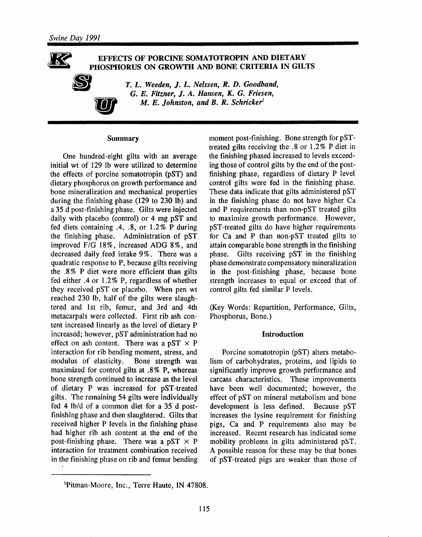EFFECTS OF PORCINE SOMATOTROPIN AND DIETARY PHOSPHORUS ON GROWTH AND BONE CRITERIA IN GILTS



T. L. Weeden, J. L. Nelssen, R. D. Goodband, G. E. Fitzner, J. A. Hansen, K. G. Friesen, M. E. Johnston, and B. R. Schricker<sup>1</sup>

#### **Summary**

One hundred-eight gilts with an average initial wt of 129 lb were utilized to determine the effects of porcine somatotropin (pST) and dietary phosphorus on growth performance and bone mineralization and mechanical properties during the finishing phase (129 to 230 lb) and a 35 d post-finishing phase. Gilts were injected daily with placebo (control) or 4 mg pST and fed diets containing .4, .8, or 1.2% P during the finishing phase. Administration of pST improved F/G 18%, increased ADG 8%, and decreased daily feed intake 9%. There was a quadratic response to P, because gilts receiving the .8% P diet were more efficient than gilts fed either .4 or 1.2% P, regardless of whether they received pST or placebo. When pen wt reached 230 lb, half of the gilts were slaughtered and 1st rib, femur, and 3rd and 4th metacarpals were collected. First rib ash content increased linearly as the level of dietary P increased; however, pST administration had no effect on ash content. There was a pST  $\times$  P interaction for rib bending moment, stress, and modulus of elasticity. Bone strength was maximized for control gilts at .8% P, whereas bone strength continued to increase as the level of dietary P was increased for pST-treated gilts. The remaining 54 gilts were individually fed 4 lb/d of a common diet for a 35 d postfinishing phase and then slaughtered. Gilts that received higher P levels in the finishing phase had higher rib ash content at the end of the post-finishing phase. There was a pST  $\times$  P interaction for treatment combination received in the finishing phase on rib and femur bending moment post-finishing. Bone strength for pSTtreated gilts receiving the .8 or 1.2% P diet in the finishing phased increased to levels exceeding those of control gilts by the end of the postfinishing phase, regardless of dietary P level control gilts were fed in the finishing phase. These data indicate that gilts administered pST in the finishing phase do not have higher Ca and P requirements than non-pST treated gilts to maximize growth performance. However, pST-treated gilts do have higher requirements for Ca and P than non-pST treated gilts to attain comparable bone strength in the finishing phase. Gilts receiving pST in the finishing phase demonstrate compensatory mineralization in the post-finishing phase, because bone strength increases to equal or exceed that of control gilts fed similar P levels.

(Key Words: Repartition, Performance, Gilts, Phosphorus, Bone.)

#### **Introduction**

Porcine somatotropin (pST) alters metabolism of carbohydrates, proteins, and lipids to significantly improve growth performance and carcass characteristics. These improvements have been well documented; however, the effect of pST on mineral metabolism and bone development is less defined. Because pST increases the lysine requirement for finishing pigs, Ca and P requirements also may be increased. Recent research has indicated some mobility problems in gilts administered pST. A possible reason for these may be that bones of pST-treated pigs are weaker than those of

<sup>&</sup>lt;sup>1</sup>Pitman-Moore, Inc., Terre Haute, IN 47808.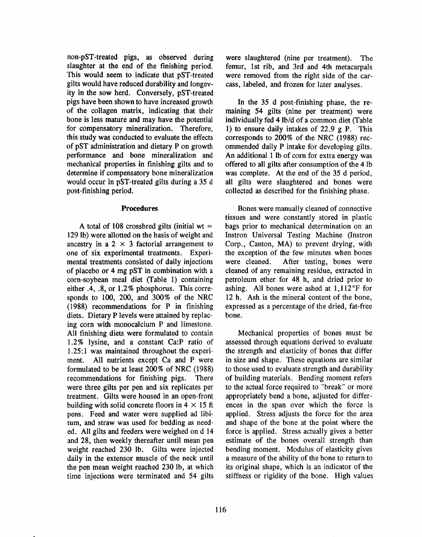non-pST-treated pigs, as observed during slaughter at the end of the finishing period. This would seem to indicate that pST-treated gilts would have reduced durability and longevity in the sow herd. Conversely, pST-treated pigs have been shown to have increased growth of the collagen matrix, indicating that their bone is less mature and may have the potential for compensatory mineralization. Therefore, this study was conducted to evaluate the effects of pST administration and dietary P on growth performance and bone mineralization and mechanical properties in finishing gilts and to determine if compensatory bone mineralization would occur in pST-treated gilts during a 35 d post-finishing period.

#### **Procedures**

A total of 108 crossbred gilts (initial wt = 129 lb) were allotted on the basis of weight and ancestry in a 2  $\times$  3 factorial arrangement to one of six experimental treatments. Experimental treatments consisted of daily injections of placebo or 4 mg pST in combination with a corn-soybean meal diet (Table 1) containing either .4, .8, or 1.2% phosphorus. This corresponds to 100, 200, and 300% of the NRC  $(1988)$  recommendations for P in finishing diets. Dietary P levels were attained by replacing corn with monocalcium P and limestone. All finishing diets were formulated to contain 1.2% lysine, and a constant Ca:P ratio of 1.25:1 was maintained throughout the experi-All nutrients except Ca and P were ment. formulated to be at least 200% of NRC (1988) recommendations for finishing pigs. There were three gilts per pen and six replicates per treatment. Gilts were housed in an open-front building with solid concrete floors in  $4 \times 15$  ft pens. Feed and water were supplied ad libitum, and straw was used for bedding as needed. All gilts and feeders were weighed on d 14 and 28, then weekly thereafter until mean pen weight reached 230 lb. Gilts were injected daily in the extensor muscle of the neck until the pen mean weight reached 230 lb, at which time injections were terminated and 54 gilts were slaughtered (nine per treatment). The femur, 1st rib, and 3rd and 4th metacarpals were removed from the right side of the carcass, labeled, and frozen for later analyses.

In the 35 d post-finishing phase, the remaining 54 gilts (nine per treatment) were individually fed 4 lb/d of a common diet (Table 1) to ensure daily intakes of 22.9 g P. This corresponds to 200% of the NRC (1988) recommended daily P intake for developing gilts. An additional 1 lb of corn for extra energy was offered to all gilts after consumption of the 4 lb was complete. At the end of the 35 d period, all gilts were slaughtered and bones were collected as described for the finishing phase.

Bones were manually cleaned of connective tissues and were constantly stored in plastic bags prior to mechanical determination on an Instron Universal Testing Machine (Instron Corp., Canton, MA) to prevent drying, with the exception of the few minutes when bones After testing, bones were were cleaned. cleaned of any remaining residue, extracted in petroleum ether for 48 h, and dried prior to ashing. All bones were ashed at 1,112°F for 12 h. Ash is the mineral content of the bone, expressed as a percentage of the dried, fat-free hone.

Mechanical properties of bones must be assessed through equations derived to evaluate the strength and elasticity of bones that differ in size and shape. These equations are similar to those used to evaluate strength and durability of building materials. Bending moment refers to the actual force required to "break" or more appropriately bend a bone, adjusted for differences in the span over which the force is applied. Stress adjusts the force for the area and shape of the bone at the point where the force is applied. Stress actually gives a better estimate of the bones overall strength than bending moment. Modulus of elasticity gives a measure of the ability of the bone to return to its original shape, which is an indicator of the stiffness or rigidity of the bone. High values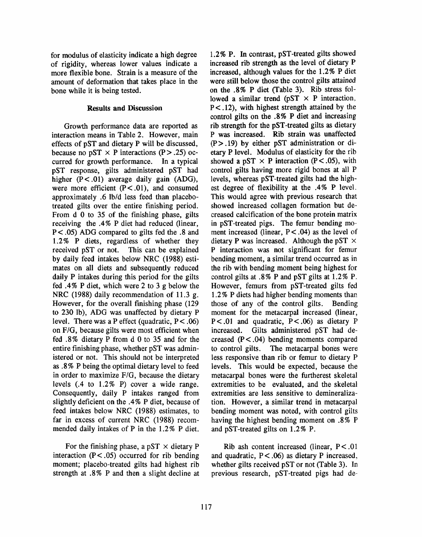for modulus of elasticity indicate a high degree of rigidity, whereas lower values indicate a more flexible bone. Strain is a measure of the amount of deformation that takes place in the bone while it is being tested.

#### **Results and Discussion**

Growth performance data are reported as interaction means in Table 2. However, main effects of pST and dietary P will be discussed, because no pST  $\times$  P interactions (P > .25) occurred for growth performance. In a typical pST response, gilts administered pST had higher (P<.01) average daily gain (ADG), were more efficient  $(P < .01)$ , and consumed approximately .6 lb/d less feed than placebotreated gilts over the entire finishing period. From d 0 to 35 of the finishing phase, gilts receiving the .4% P diet had reduced (linear,  $P < .05$ ) ADG compared to gilts fed the  $.8$  and 1.2% P diets, regardless of whether they received pST or not. This can be explained by daily feed intakes below NRC (1988) estimates on all diets and subsequently reduced daily P intakes during this period for the gilts fed .4% P diet, which were 2 to 3 g below the NRC (1988) daily recommendation of 11.3 g. However, for the overall finishing phase (129 to 230 lb), ADG was unaffected by dietary P level. There was a P effect (quadratic,  $P < .06$ ) on F/G, because gilts were most efficient when fed .8% dietary P from d 0 to 35 and for the entire finishing phase, whether pST was administered or not. This should not be interpreted as .8% P being the optimal dietary level to feed in order to maximize F/G, because the dietary levels  $(.4 \text{ to } 1.2\% \text{ P})$  cover a wide range. Consequently, daily P intakes ranged from slightly deficient on the .4% P diet, because of feed intakes below NRC (1988) estimates, to far in excess of current NRC (1988) recommended daily intakes of P in the 1.2% P diet.

For the finishing phase, a pST  $\times$  dietary P interaction  $(P < .05)$  occurred for rib bending moment; placebo-treated gilts had highest rib strength at .8% P and then a slight decline at 1.2% P. In contrast, pST-treated gilts showed increased rib strength as the level of dietary P increased, although values for the 1.2% P diet were still below those the control gilts attained on the .8% P diet (Table 3). Rib stress followed a similar trend ( $pST \times P$  interaction,  $P < .12$ ), with highest strength attained by the control gilts on the .8% P diet and increasing rib strength for the pST-treated gilts as dietary P was increased. Rib strain was unaffected  $(P > .19)$  by either pST administration or dietary P level. Modulus of elasticity for the rib showed a pST  $\times$  P interaction (P < .05), with control gilts having more rigid bones at all P levels, whereas pST-treated gilts had the highest degree of flexibility at the .4% P level. This would agree with previous research that showed increased collagen formation but decreased calcification of the bone protein matrix in pST-treated pigs. The femur bending moment increased (linear,  $P < .04$ ) as the level of dietary P was increased. Although the pST  $\times$ P interaction was not significant for femur bending moment, a similar trend occurred as in the rib with bending moment being highest for control gilts at .8% P and pST gilts at 1.2% P. However, femurs from pST-treated gilts fed 1.2% P diets had higher bending moments than those of any of the control gilts. Bending moment for the metacarpal increased (linear,  $P < .01$  and quadratic,  $P < .06$  as dietary P Gilts administered pST had deincreased. creased  $(P < .04)$  bending moments compared The metacarpal bones were to control gilts. less responsive than rib or femur to dietary P levels. This would be expected, because the metacarpal bones were the furtherest skeletal extremities to be evaluated, and the skeletal extremities are less sensitive to demineralization. However, a similar trend in metacarpal bending moment was noted, with control gilts having the highest bending moment on .8% P and pST-treated gilts on 1.2% P.

Rib ash content increased (linear,  $P < .01$ ) and quadratic,  $P < .06$  as dietary P increased, whether gilts received pST or not (Table 3). In previous research, pST-treated pigs had de-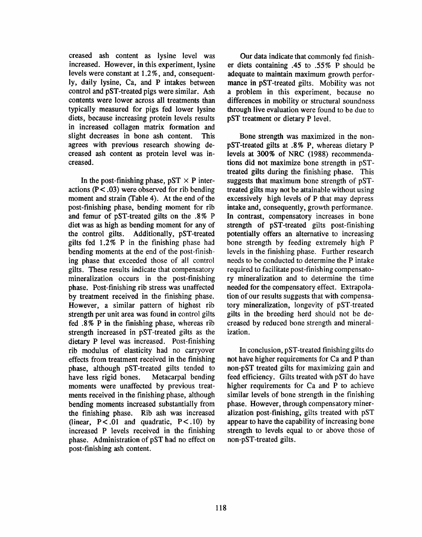creased ash content as lysine level was increased. However, in this experiment, lysine levels were constant at 1.2%, and, consequently, daily lysine, Ca, and P intakes between control and pST-treated pigs were similar. Ash contents were lower across all treatments than typically measured for pigs fed lower lysine diets, because increasing protein levels results in increased collagen matrix formation and slight decreases in bone ash content. This agrees with previous research showing decreased ash content as protein level was increased.

In the post-finishing phase,  $pST \times P$  interactions ( $P < .03$ ) were observed for rib bending moment and strain (Table 4). At the end of the post-finishing phase, bending moment for rib and femur of pST-treated gilts on the .8% P diet was as high as bending moment for any of the control gilts. Additionally, pST-treated gilts fed 1.2% P in the finishing phase had bending moments at the end of the post-finishing phase that exceeded those of all control gilts. These results indicate that compensatory mineralization occurs in the post-finishing phase. Post-finishing rib stress was unaffected by treatment received in the finishing phase. However, a similar pattern of highest rib strength per unit area was found in control gilts fed .8% P in the finishing phase, whereas rib strength increased in pST-treated gilts as the dietary P level was increased. Post-finishing rib modulus of elasticity had no carryover effects from treatment received in the finishing phase, although pST-treated gilts tended to have less rigid bones. Metacarpal bending moments were unaffected by previous treatments received in the finishing phase, although bending moments increased substantially from the finishing phase. Rib ash was increased (linear,  $P < .01$  and quadratic,  $P < .10$ ) by increased P levels received in the finishing phase. Administration of pST had no effect on post-finishing ash content.

Our data indicate that commonly fed finisher diets containing .45 to .55% P should be adequate to maintain maximum growth performance in pST-treated gilts. Mobility was not a problem in this experiment, because no differences in mobility or structural soundness through live evaluation were found to be due to pST treatment or dietary P level.

Bone strength was maximized in the nonpST-treated gilts at .8% P, whereas dietary P levels at 300% of NRC (1988) recommendations did not maximize bone strength in pSTtreated gilts during the finishing phase. This suggests that maximum bone strength of pSTtreated gilts may not be attainable without using excessively high levels of P that may depress intake and, consequently, growth performance. In contrast, compensatory increases in bone strength of pST-treated gilts post-finishing potentially offers an alternative to increasing bone strength by feeding extremely high P levels in the finishing phase. Further research needs to be conducted to determine the P intake required to facilitate post-finishing compensatory mineralization and to determine the time needed for the compensatory effect. Extrapolation of our results suggests that with compensatory mineralization, longevity of pST-treated gilts in the breeding herd should not be decreased by reduced bone strength and mineralization.

In conclusion, pST-treated finishing gilts do not have higher requirements for Ca and P than non-pST treated gilts for maximizing gain and feed efficiency. Gilts treated with pST do have higher requirements for Ca and P to achieve similar levels of bone strength in the finishing phase. However, through compensatory mineralization post-finishing, gilts treated with pST appear to have the capability of increasing bone strength to levels equal to or above those of non-pST-treated gilts.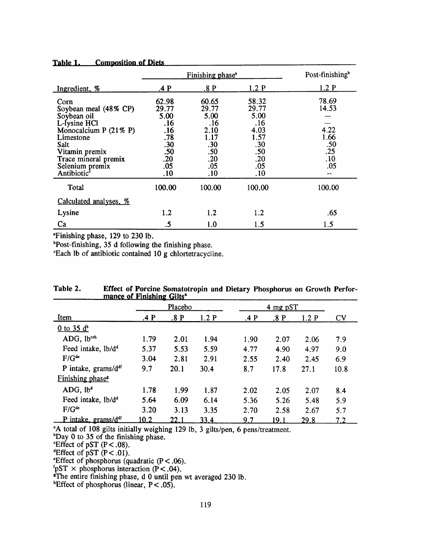|                                                                                                                                                                                                               | Finishing phase <sup>a</sup>                                                   | Post-finishing <sup>b</sup>                                                      |                                                                                  |                                                                |
|---------------------------------------------------------------------------------------------------------------------------------------------------------------------------------------------------------------|--------------------------------------------------------------------------------|----------------------------------------------------------------------------------|----------------------------------------------------------------------------------|----------------------------------------------------------------|
| Ingredient, %                                                                                                                                                                                                 | .4P                                                                            | .8P                                                                              | 1.2P                                                                             | 1.2P                                                           |
| Corn<br>Soybean meal (48% CP)<br>Soybean oil<br>L-Iysine HCl<br>Monocalcium P $(21\% \text{ P})$<br>Limestone<br>Salt<br>Vitamin premix<br>Trace mineral premix<br>Selenium premix<br>Antibiotic <sup>®</sup> | 62.98<br>29.77<br>5.00<br>.16<br>.16<br>.78<br>.30<br>.50<br>.20<br>.05<br>.10 | 60.65<br>29.77<br>5.00<br>.16<br>2.10<br>1.17<br>.30<br>.50<br>.20<br>.05<br>.10 | 58.32<br>29.77<br>5.00<br>.16<br>4.03<br>1.57<br>.30<br>.50<br>.20<br>.05<br>.10 | 78.69<br>14.53<br>4.22<br>1.66<br>$.50$<br>$.25$<br>.10<br>.05 |
| Total                                                                                                                                                                                                         | 100.00                                                                         | 100.00                                                                           | 100.00                                                                           | 100.00                                                         |
| Calculated analyses, %                                                                                                                                                                                        |                                                                                |                                                                                  |                                                                                  |                                                                |
| Lysine                                                                                                                                                                                                        | 1.2                                                                            | 1.2                                                                              | 1.2                                                                              | .65                                                            |
| Ca                                                                                                                                                                                                            | .5                                                                             | 1.0                                                                              | 1.5                                                                              | 1.5                                                            |

### Table 1. Composition of Diets

<sup>a</sup>Finishing phase, 129 to 230 lb.

**Post-finishing, 35 d following the finishing phase.** 

"Each lb of antibiotic contained 10 g chlortetracycline.

|                                | <u>mance of Financine</u> Only |      |      |            |      |      |      |
|--------------------------------|--------------------------------|------|------|------------|------|------|------|
|                                | Placebo                        |      |      | $4$ mg pST |      |      |      |
| Item                           | .4P                            | .8P  | 1.2P | .4P        | .8P  | 1.2P | CV   |
| $0$ to 35 $d^b$                |                                |      |      |            |      |      |      |
| ADG, lb <sup>cch</sup>         | 1.79                           | 2.01 | 1.94 | 1.90       | 2.07 | 2.06 | 7.9  |
| Feed intake, lb/d <sup>d</sup> | 5.37                           | 5.53 | 5.59 | 4.77       | 4.90 | 4.97 | 9.0  |
| $F/G^{de}$                     | 3.04                           | 2.81 | 2.91 | 2.55       | 2.40 | 2.45 | 6.9  |
| P intake, $grams/d^{df}$       | 9.7                            | 20.1 | 30.4 | 8.7        | 17.8 | 27.1 | 10.8 |
| Finishing phase <sup>s</sup>   |                                |      |      |            |      |      |      |
| ADG, lb <sup>d</sup>           | 1.78                           | 1.99 | 1.87 | 2.02       | 2.05 | 2.07 | 8.4  |
| Feed intake, lb/d <sup>d</sup> | 5.64                           | 6.09 | 6.14 | 5.36       | 5.26 | 5.48 | 5.9  |
| $F/G^{de}$                     | 3.20                           | 3.13 | 3.35 | 2.70       | 2.58 | 2.67 | 5.7  |
| P intake, $grams/d^d$          | 10.2                           | 22.1 | 33.4 | 97         | 19.1 | 29 R | 72   |

| Table 2. | Effect of Porcine Somatotropin and Dietary Phosphorus on Growth Perfor- |
|----------|-------------------------------------------------------------------------|
|          | mance of Finishing Gilts <sup>a</sup>                                   |

<sup>a</sup>A total of 108 gilts initially weighing 129 lb, 3 gilts/pen, 6 pens/treatment.

 $P$  bay 0 to 35 of the finishing phase.<br>Effect of pST ( $P < .08$ ).

Effect of pST ( $P < .06$ ).<br>
"Effect of pST ( $P < .01$ ).<br>
"Effect of phosphorus (quadratic ( $P < .06$ ).<br>
"ST × phosphorus interaction ( $P < .04$ ).<br>
"The entire finishing phase, d 0 until pen wt averaged 230 lb.

<sup>h</sup>Effect of phosphorus (linear,  $P < .05$ ).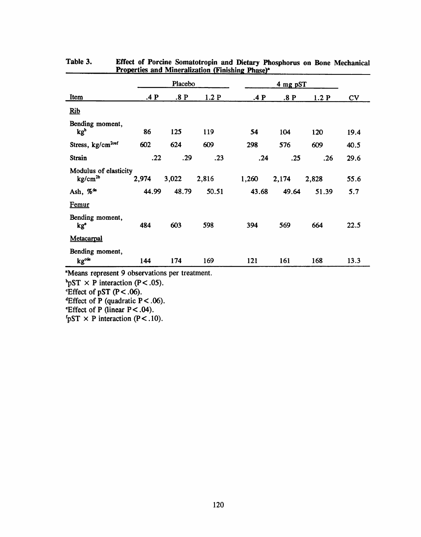|                                                     | Placebo |       |       | $4$ mg pST |       |       |      |
|-----------------------------------------------------|---------|-------|-------|------------|-------|-------|------|
| Item                                                | .4 P    | .8 P  | 1.2P  | .4 P       | .8 P  | 1.2P  | CV   |
| Rib                                                 |         |       |       |            |       |       |      |
| Bending moment,<br>kg <sup>b</sup>                  | 86      | 125   | 119   | 54         | 104   | 120   | 19.4 |
| Stress, kg/cm <sup>200f</sup>                       | 602     | 624   | 609   | 298        | 576   | 609   | 40.5 |
| Strain                                              | .22     | .29   | .23   | .24        | .25   | .26   | 29.6 |
| Modulus of elasticity<br>$\text{kg/cm}^{\text{2b}}$ | 2,974   | 3,022 | 2,816 | 1,260      | 2,174 | 2,828 | 55.6 |
| Ash, % <sup>de</sup>                                | 44.99   | 48.79 | 50.51 | 43.68      | 49.64 | 51.39 | 5.7  |
| Femur                                               |         |       |       |            |       |       |      |
| Bending moment,<br>kg <sup>e</sup>                  | 484     | 603   | 598   | 394        | 569   | 664   | 22.5 |
| Metacarpal                                          |         |       |       |            |       |       |      |
| Bending moment,<br>kg <sup>cde</sup>                | 144     | 174   | 169   | 121        | 161   | 168   | 13.3 |

| Table 3. | Effect of Porcine Somatotropin and Dietary Phosphorus on Bone Mechanical |
|----------|--------------------------------------------------------------------------|
|          | <b>Properties and Mineralization (Finishing Phase)<sup>a</sup></b>       |

<sup>a</sup>Means represent 9 observations per treatment.

<sup>b</sup>pST × P interaction (P<.05).

Effect of pST  $(P < .06)$ .

<sup>d</sup>Effect of P (quadratic P < .06).

Effect of P (linear  $P < .04$ ).

<sup>f</sup>pST  $\times$  P interaction (P < .10).